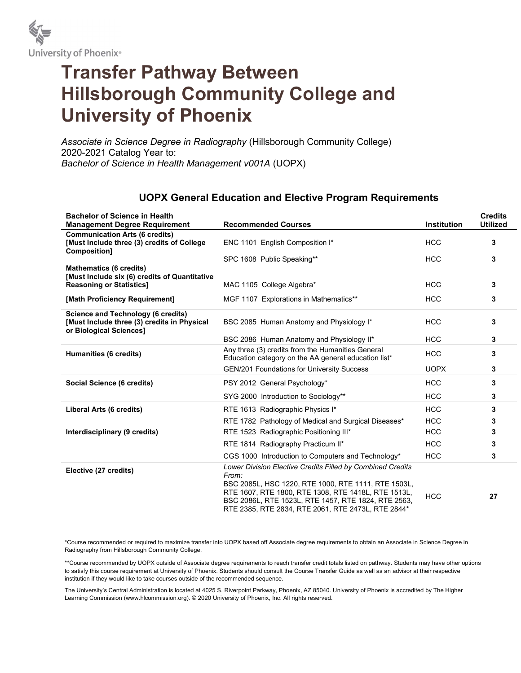

## Transfer Pathway Between Hillsborough Community College and University of Phoenix

Associate in Science Degree in Radiography (Hillsborough Community College) 2020-2021 Catalog Year to: Bachelor of Science in Health Management v001A (UOPX)

## UOPX General Education and Elective Program Requirements

| <b>Bachelor of Science in Health</b><br><b>Management Degree Requirement</b>                                 | <b>Recommended Courses</b>                                                                                                                                                                                                                                                                     | <b>Institution</b> | <b>Credits</b><br><b>Utilized</b> |
|--------------------------------------------------------------------------------------------------------------|------------------------------------------------------------------------------------------------------------------------------------------------------------------------------------------------------------------------------------------------------------------------------------------------|--------------------|-----------------------------------|
| <b>Communication Arts (6 credits)</b><br>[Must Include three (3) credits of College<br>Composition]          | ENC 1101 English Composition I*                                                                                                                                                                                                                                                                | <b>HCC</b>         | 3                                 |
|                                                                                                              | SPC 1608 Public Speaking**                                                                                                                                                                                                                                                                     | <b>HCC</b>         | 3                                 |
| <b>Mathematics (6 credits)</b><br>[Must Include six (6) credits of Quantitative                              |                                                                                                                                                                                                                                                                                                | <b>HCC</b>         | 3                                 |
| <b>Reasoning or Statistics]</b>                                                                              | MAC 1105 College Algebra*                                                                                                                                                                                                                                                                      |                    |                                   |
| [Math Proficiency Requirement]                                                                               | MGF 1107 Explorations in Mathematics**                                                                                                                                                                                                                                                         | <b>HCC</b>         | 3                                 |
| Science and Technology (6 credits)<br>[Must Include three (3) credits in Physical<br>or Biological Sciences] | BSC 2085 Human Anatomy and Physiology I*                                                                                                                                                                                                                                                       | <b>HCC</b>         | 3                                 |
|                                                                                                              | BSC 2086 Human Anatomy and Physiology II*                                                                                                                                                                                                                                                      | <b>HCC</b>         | 3                                 |
| Humanities (6 credits)                                                                                       | Any three (3) credits from the Humanities General<br>Education category on the AA general education list*                                                                                                                                                                                      | <b>HCC</b>         | 3                                 |
|                                                                                                              | <b>GEN/201 Foundations for University Success</b>                                                                                                                                                                                                                                              | <b>UOPX</b>        | 3                                 |
| Social Science (6 credits)                                                                                   | PSY 2012 General Psychology*                                                                                                                                                                                                                                                                   | <b>HCC</b>         | 3                                 |
|                                                                                                              | SYG 2000 Introduction to Sociology**                                                                                                                                                                                                                                                           | <b>HCC</b>         | 3                                 |
| Liberal Arts (6 credits)                                                                                     | RTE 1613 Radiographic Physics I*                                                                                                                                                                                                                                                               | <b>HCC</b>         | 3                                 |
|                                                                                                              | RTE 1782 Pathology of Medical and Surgical Diseases*                                                                                                                                                                                                                                           | <b>HCC</b>         | 3                                 |
| Interdisciplinary (9 credits)                                                                                | RTE 1523 Radiographic Positioning III*                                                                                                                                                                                                                                                         | <b>HCC</b>         | 3                                 |
|                                                                                                              | RTE 1814 Radiography Practicum II*                                                                                                                                                                                                                                                             | <b>HCC</b>         | 3                                 |
|                                                                                                              | CGS 1000 Introduction to Computers and Technology*                                                                                                                                                                                                                                             | <b>HCC</b>         | 3                                 |
| Elective (27 credits)                                                                                        | Lower Division Elective Credits Filled by Combined Credits<br>From:<br>BSC 2085L, HSC 1220, RTE 1000, RTE 1111, RTE 1503L,<br>RTE 1607, RTE 1800, RTE 1308, RTE 1418L, RTE 1513L,<br>BSC 2086L, RTE 1523L, RTE 1457, RTE 1824, RTE 2563,<br>RTE 2385, RTE 2834, RTE 2061, RTE 2473L, RTE 2844* | <b>HCC</b>         | 27                                |

\*Course recommended or required to maximize transfer into UOPX based off Associate degree requirements to obtain an Associate in Science Degree in Radiography from Hillsborough Community College.

\*\*Course recommended by UOPX outside of Associate degree requirements to reach transfer credit totals listed on pathway. Students may have other options to satisfy this course requirement at University of Phoenix. Students should consult the Course Transfer Guide as well as an advisor at their respective institution if they would like to take courses outside of the recommended sequence.

The University's Central Administration is located at 4025 S. Riverpoint Parkway, Phoenix, AZ 85040. University of Phoenix is accredited by The Higher Learning Commission (www.hlcommission.org). © 2020 University of Phoenix, Inc. All rights reserved.